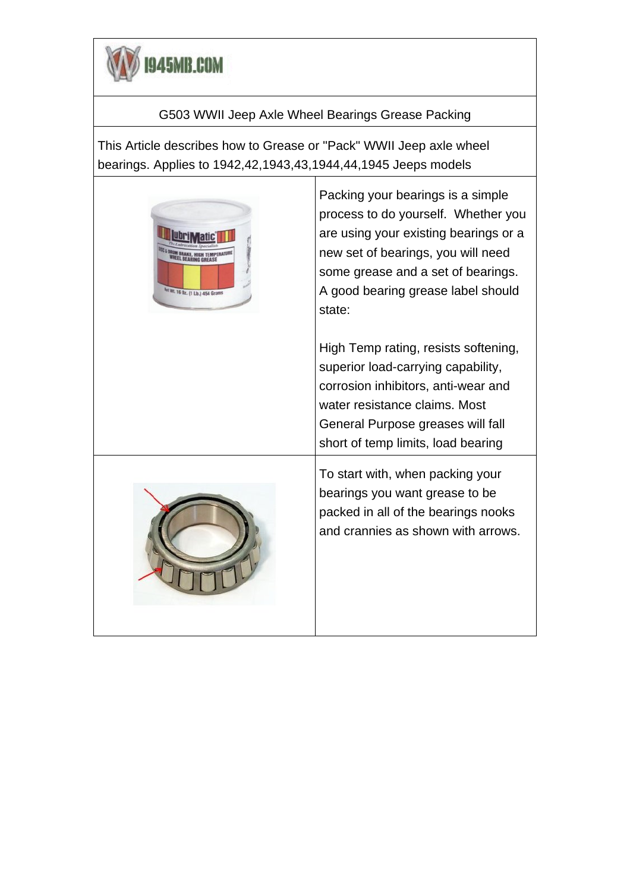

## G503 WWII Jeep Axle Wheel Bearings Grease Packing

This Article describes how to Grease or "Pack" WWII Jeep axle wheel bearings. Applies to 1942,42,1943,43,1944,44,1945 Jeeps models



Packing your bearings is a simple process to do yourself. Whether you are using your existing bearings or a new set of bearings, you will need some grease and a set of bearings. A good bearing grease label should state:

High Temp rating, resists softening, superior load-carrying capability, corrosion inhibitors, anti-wear and water resistance claims. Most General Purpose greases will fall short of temp limits, load bearing



To start with, when packing your bearings you want grease to be packed in all of the bearings nooks and crannies as shown with arrows.